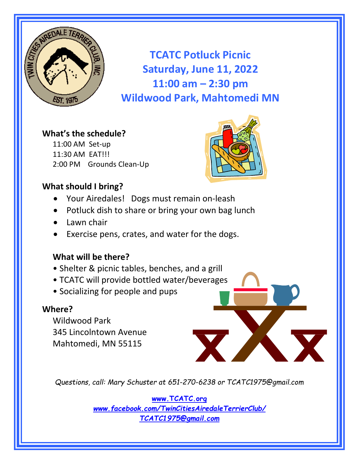

**TCATC Potluck Picnic Saturday, June 11, 2022 11:00 am – 2:30 pm Wildwood Park, Mahtomedi MN**

## **What's the schedule?**

11:00 AM Set‐up 11:30 AM EAT!!! 2:00 PM Grounds Clean‐Up



# **What should I bring?**

- Your Airedales! Dogs must remain on-leash
- Potluck dish to share or bring your own bag lunch
- Lawn chair
- Exercise pens, crates, and water for the dogs.

## **What will be there?**

- Shelter & picnic tables, benches, and a grill
- TCATC will provide bottled water/beverages
- Socializing for people and pups

#### **Where?**

Wildwood Park 345 Lincolntown Avenue Mahtomedi, MN 55115

*Questions, call: Mary Schuster at 651-270-6238 or TCATC1975@gmail.com* 

**www.TCATC.org** *www.facebook.com/TwinCitiesAiredaleTerrierClub/ TCATC1975@gmail.com*